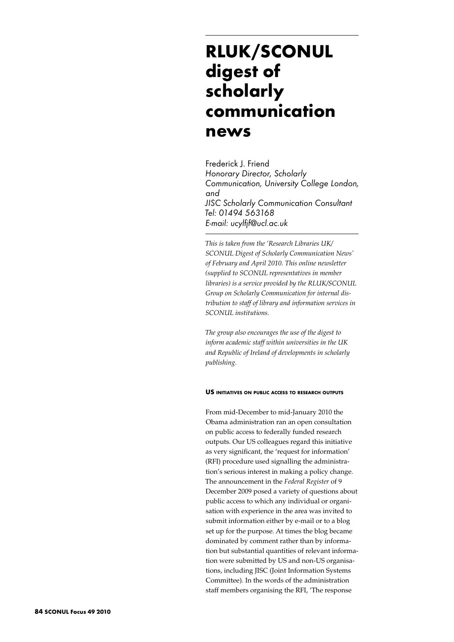# **RLUK/SCONUL digest of scholarly communication news**

Frederick J. Friend *Honorary Director, Scholarly Communication, University College London, and JISC Scholarly Communication Consultant Tel: 01494 563168 E-mail: ucylfjf@ucl.ac.uk*

*This is taken from the 'Research Libraries UK/ SCONUL Digest of Scholarly Communication News' of February and April 2010. This online newsletter (supplied to SCONUL representatives in member libraries) is a service provided by the RLUK/SCONUL Group on Scholarly Communication for internal distribution to staff of library and information services in SCONUL institutions.* 

*The group also encourages the use of the digest to inform academic staff within universities in the UK and Republic of Ireland of developments in scholarly publishing.*

## **US initiatives on public access to research outputs**

From mid-December to mid-January 2010 the Obama administration ran an open consultation on public access to federally funded research outputs. Our US colleagues regard this initiative as very significant, the 'request for information' (RFI) procedure used signalling the administration's serious interest in making a policy change. The announcement in the *Federal Register* of 9 December 2009 posed a variety of questions about public access to which any individual or organisation with experience in the area was invited to submit information either by e-mail or to a blog set up for the purpose. At times the blog became dominated by comment rather than by information but substantial quantities of relevant information were submitted by US and non-US organisations, including JISC (Joint Information Systems Committee). In the words of the administration staff members organising the RFI, 'The response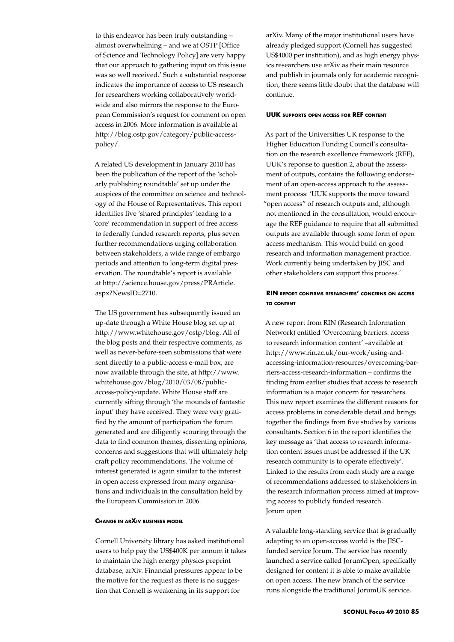to this endeavor has been truly outstanding – almost overwhelming – and we at OSTP [Office of Science and Technology Policy] are very happy that our approach to gathering input on this issue was so well received.' Such a substantial response indicates the importance of access to US research for researchers working collaboratively worldwide and also mirrors the response to the European Commission's request for comment on open access in 2006. More information is available at http://blog.ostp.gov/category/public-accesspolicy/.

A related US development in January 2010 has been the publication of the report of the 'scholarly publishing roundtable' set up under the auspices of the committee on science and technology of the House of Representatives. This report identifies five 'shared principles' leading to a 'core' recommendation in support of free access to federally funded research reports, plus seven further recommendations urging collaboration between stakeholders, a wide range of embargo periods and attention to long-term digital preservation. The roundtable's report is available at http://science.house.gov/press/PRArticle. aspx?NewsID=2710.

The US government has subsequently issued an up-date through a White House blog set up at http://www.whitehouse.gov/ostp/blog. All of the blog posts and their respective comments, as well as never-before-seen submissions that were sent directly to a public-access e-mail box, are now available through the site, at http://www. whitehouse.gov/blog/2010/03/08/publicaccess-policy-update. White House staff are currently sifting through 'the mounds of fantastic input' they have received. They were very gratified by the amount of participation the forum generated and are diligently scouring through the data to find common themes, dissenting opinions, concerns and suggestions that will ultimately help craft policy recommendations. The volume of interest generated is again similar to the interest in open access expressed from many organisations and individuals in the consultation held by the European Commission in 2006.

## **Change in arXiv business model**

Cornell University library has asked institutional users to help pay the US\$400K per annum it takes to maintain the high energy physics preprint database, arXiv. Financial pressures appear to be the motive for the request as there is no suggestion that Cornell is weakening in its support for

arXiv. Many of the major institutional users have already pledged support (Cornell has suggested US\$4000 per institution), and as high energy physics researchers use arXiv as their main resource and publish in journals only for academic recognition, there seems little doubt that the database will continue.

#### **UUK supports open access for REF content**

As part of the Universities UK response to the Higher Education Funding Council's consultation on the research excellence framework (REF), UUK's reponse to question 2, about the assessment of outputs, contains the following endorsement of an open-access approach to the assessment process: 'UUK supports the move toward "open access" of research outputs and, although not mentioned in the consultation, would encourage the REF guidance to require that all submitted outputs are available through some form of open access mechanism. This would build on good research and information management practice. Work currently being undertaken by JISC and other stakeholders can support this process.'

## **RIN report confirms researchers' concerns on access to content**

A new report from RIN (Research Information Network) entitled 'Overcoming barriers: access to research information content' –available at http://www.rin.ac.uk/our-work/using-andaccessing-information-resources/overcoming-barriers-access-research-information – confirms the finding from earlier studies that access to research information is a major concern for researchers. This new report examines the different reasons for access problems in considerable detail and brings together the findings from five studies by various consultants. Section 6 in the report identifies the key message as 'that access to research information content issues must be addressed if the UK research community is to operate effectively'. Linked to the results from each study are a range of recommendations addressed to stakeholders in the research information process aimed at improving access to publicly funded research. Jorum open

A valuable long-standing service that is gradually adapting to an open-access world is the JISCfunded service Jorum. The service has recently launched a service called JorumOpen, specifically designed for content it is able to make available on open access. The new branch of the service runs alongside the traditional JorumUK service.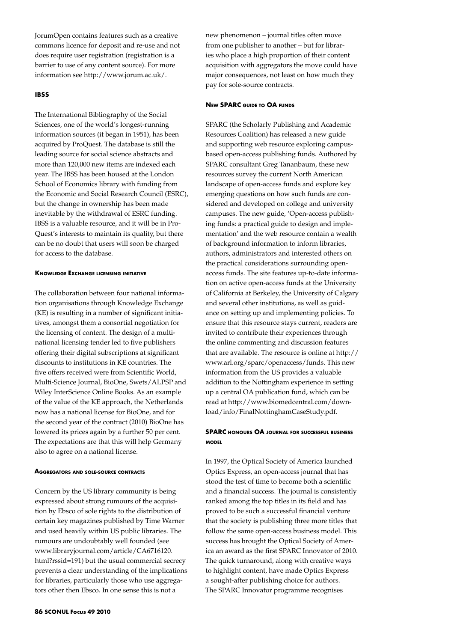JorumOpen contains features such as a creative commons licence for deposit and re-use and not does require user registration (registration is a barrier to use of any content source). For more information see http://www.jorum.ac.uk/.

## **IBSS**

The International Bibliography of the Social Sciences, one of the world's longest-running information sources (it began in 1951), has been acquired by ProQuest. The database is still the leading source for social science abstracts and more than 120,000 new items are indexed each year. The IBSS has been housed at the London School of Economics library with funding from the Economic and Social Research Council (ESRC), but the change in ownership has been made inevitable by the withdrawal of ESRC funding. IBSS is a valuable resource, and it will be in Pro-Quest's interests to maintain its quality, but there can be no doubt that users will soon be charged for access to the database.

#### **Knowledge Exchange licensing initiative**

The collaboration between four national information organisations through Knowledge Exchange (KE) is resulting in a number of significant initiatives, amongst them a consortial negotiation for the licensing of content. The design of a multinational licensing tender led to five publishers offering their digital subscriptions at significant discounts to institutions in KE countries. The five offers received were from Scientific World, Multi-Science Journal, BioOne, Swets/ALPSP and Wiley InterScience Online Books. As an example of the value of the KE approach, the Netherlands now has a national license for BioOne, and for the second year of the contract (2010) BioOne has lowered its prices again by a further 50 per cent. The expectations are that this will help Germany also to agree on a national license.

### **Aggregators and sole-source contracts**

Concern by the US library community is being expressed about strong rumours of the acquisition by Ebsco of sole rights to the distribution of certain key magazines published by Time Warner and used heavily within US public libraries. The rumours are undoubtably well founded (see www.libraryjournal.com/article/CA6716120. html?rssid=191) but the usual commercial secrecy prevents a clear understanding of the implications for libraries, particularly those who use aggregators other then Ebsco. In one sense this is not a

new phenomenon – journal titles often move from one publisher to another – but for libraries who place a high proportion of their content acquisition with aggregators the move could have major consequences, not least on how much they pay for sole-source contracts.

#### **New SPARC guide to OA funds**

SPARC (the Scholarly Publishing and Academic Resources Coalition) has released a new guide and supporting web resource exploring campusbased open-access publishing funds. Authored by SPARC consultant Greg Tananbaum, these new resources survey the current North American landscape of open-access funds and explore key emerging questions on how such funds are considered and developed on college and university campuses. The new guide, 'Open-access publishing funds: a practical guide to design and implementation' and the web resource contain a wealth of background information to inform libraries, authors, administrators and interested others on the practical considerations surrounding openaccess funds. The site features up-to-date information on active open-access funds at the University of California at Berkeley, the University of Calgary and several other institutions, as well as guidance on setting up and implementing policies. To ensure that this resource stays current, readers are invited to contribute their experiences through the online commenting and discussion features that are available. The resource is online at http:// www.arl.org/sparc/openaccess/funds. This new information from the US provides a valuable addition to the Nottingham experience in setting up a central OA publication fund, which can be read at http://www.biomedcentral.com/download/info/FinalNottinghamCaseStudy.pdf.

# **SPARC honours OA journal for successful business model**

In 1997, the Optical Society of America launched Optics Express, an open-access journal that has stood the test of time to become both a scientific and a financial success. The journal is consistently ranked among the top titles in its field and has proved to be such a successful financial venture that the society is publishing three more titles that follow the same open-access business model. This success has brought the Optical Society of America an award as the first SPARC Innovator of 2010. The quick turnaround, along with creative ways to highlight content, have made Optics Express a sought-after publishing choice for authors. The SPARC Innovator programme recognises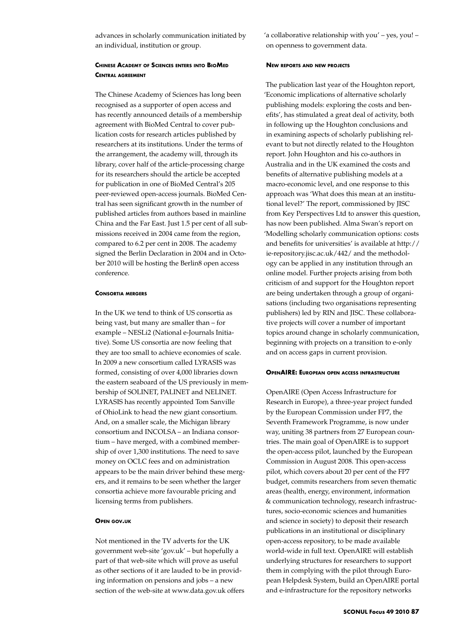advances in scholarly communication initiated by an individual, institution or group.

# **Chinese Academy of Sciences enters into BioMed Central agreement**

The Chinese Academy of Sciences has long been recognised as a supporter of open access and has recently announced details of a membership agreement with BioMed Central to cover publication costs for research articles published by researchers at its institutions. Under the terms of the arrangement, the academy will, through its library, cover half of the article-processing charge for its researchers should the article be accepted for publication in one of BioMed Central's 205 peer-reviewed open-access journals. BioMed Central has seen significant growth in the number of published articles from authors based in mainline China and the Far East. Just 1.5 per cent of all submissions received in 2004 came from the region, compared to 6.2 per cent in 2008. The academy signed the Berlin Declaration in 2004 and in October 2010 will be hosting the Berlin8 open access conference.

#### **Consortia mergers**

In the UK we tend to think of US consortia as being vast, but many are smaller than – for example – NESLi2 (National e-Journals Initiative). Some US consortia are now feeling that they are too small to achieve economies of scale. In 2009 a new consortium called LYRASIS was formed, consisting of over 4,000 libraries down the eastern seaboard of the US previously in membership of SOLINET, PALINET and NELINET. LYRASIS has recently appointed Tom Sanville of OhioLink to head the new giant consortium. And, on a smaller scale, the Michigan library consortium and INCOLSA – an Indiana consortium – have merged, with a combined membership of over 1,300 institutions. The need to save money on OCLC fees and on administration appears to be the main driver behind these mergers, and it remains to be seen whether the larger consortia achieve more favourable pricing and licensing terms from publishers.

## **Open gov.uk**

Not mentioned in the TV adverts for the UK government web-site 'gov.uk' – but hopefully a part of that web-site which will prove as useful as other sections of it are lauded to be in providing information on pensions and jobs – a new section of the web-site at www.data.gov.uk offers 'a collaborative relationship with you' – yes, you! – on openness to government data.

#### **New reports and new projects**

The publication last year of the Houghton report, 'Economic implications of alternative scholarly publishing models: exploring the costs and benefits', has stimulated a great deal of activity, both in following up the Houghton conclusions and in examining aspects of scholarly publishing relevant to but not directly related to the Houghton report. John Houghton and his co-authors in Australia and in the UK examined the costs and benefits of alternative publishing models at a macro-economic level, and one response to this approach was 'What does this mean at an institutional level?' The report, commissioned by JISC from Key Perspectives Ltd to answer this question, has now been published. Alma Swan's report on 'Modelling scholarly communication options: costs and benefits for universities' is available at http:// ie-repository.jisc.ac.uk/442/ and the methodology can be applied in any institution through an online model. Further projects arising from both criticism of and support for the Houghton report are being undertaken through a group of organisations (including two organisations representing publishers) led by RIN and JISC. These collaborative projects will cover a number of important topics around change in scholarly communication, beginning with projects on a transition to e-only and on access gaps in current provision.

## **OpenAIRE: European open access infrastructure**

OpenAIRE (Open Access Infrastructure for Research in Europe), a three-year project funded by the European Commission under FP7, the Seventh Framework Programme, is now under way, uniting 38 partners from 27 European countries. The main goal of OpenAIRE is to support the open-access pilot, launched by the European Commission in August 2008. This open-access pilot, which covers about 20 per cent of the FP7 budget, commits researchers from seven thematic areas (health, energy, environment, information & communication technology, research infrastructures, socio-economic sciences and humanities and science in society) to deposit their research publications in an institutional or disciplinary open-access repository, to be made available world-wide in full text. OpenAIRE will establish underlying structures for researchers to support them in complying with the pilot through European Helpdesk System, build an OpenAIRE portal and e-infrastructure for the repository networks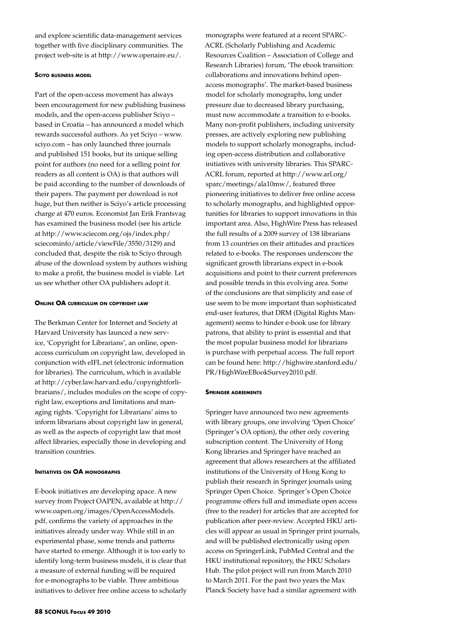and explore scientific data-management services together with five disciplinary communities. The project web-site is at http://www.openaire.eu/.

## **Sciyo business model**

Part of the open-access movement has always been encouragement for new publishing business models, and the open-access publisher Sciyo – based in Croatia – has announced a model which rewards successful authors. As yet Sciyo – www. sciyo.com – has only launched three journals and published 151 books, but its unique selling point for authors (no need for a selling point for readers as all content is OA) is that authors will be paid according to the number of downloads of their papers. The payment per download is not huge, but then neither is Sciyo's article processing charge at 470 euros. Economist Jan Erik Frantsvag has examined the business model (see his article at http://www.sciecom.org/ojs/index.php/ sciecominfo/article/viewFile/3550/3129) and concluded that, despite the risk to Sciyo through abuse of the download system by authors wishing to make a profit, the business model is viable. Let us see whether other OA publishers adopt it.

#### **Online OA curriculum on copyright law**

The Berkman Center for Internet and Society at Harvard University has launced a new service, 'Copyright for Librarians', an online, openaccess curriculum on copyright law, developed in conjunction with eIFL.net (electronic information for libraries). The curriculum, which is available at http://cyber.law.harvard.edu/copyrightforlibrarians/, includes modules on the scope of copyright law, exceptions and limitations and managing rights. 'Copyright for Librarians' aims to inform librarians about copyright law in general, as well as the aspects of copyright law that most affect libraries, especially those in developing and transition countries.

## **Initiatives on OA monographs**

E-book initiatives are developing apace. A new survey from Project OAPEN, available at http:// www.oapen.org/images/OpenAccessModels. pdf, confirms the variety of approaches in the initiatives already under way. While still in an experimental phase, some trends and patterns have started to emerge. Although it is too early to identify long-term business models, it is clear that a measure of external funding will be required for e-monographs to be viable. Three ambitious initiatives to deliver free online access to scholarly ACRL (Scholarly Publishing and Academic Resources Coalition – Association of College and Research Libraries) forum, 'The ebook transition: collaborations and innovations behind openaccess monographs'. The market-based business model for scholarly monographs, long under pressure due to decreased library purchasing, must now accommodate a transition to e-books. Many non-profit publishers, including university presses, are actively exploring new publishing models to support scholarly monographs, including open-access distribution and collaborative initiatives with university libraries. This SPARC-ACRL forum, reported at http://www.arl.org/ sparc/meetings/ala10mw/, featured three pioneering initiatives to deliver free online access to scholarly monographs, and highlighted opportunities for libraries to support innovations in this important area. Also, HighWire Press has released the full results of a 2009 survey of 138 librarians from 13 countries on their attitudes and practices related to e-books. The responses underscore the significant growth librarians expect in e-book acquisitions and point to their current preferences and possible trends in this evolving area. Some of the conclusions are that simplicity and ease of use seem to be more important than sophisticated end-user features, that DRM (Digital Rights Management) seems to hinder e-book use for library patrons, that ability to print is essential and that the most popular business model for librarians is purchase with perpetual access. The full report can be found here: http://highwire.stanford.edu/ PR/HighWireEBookSurvey2010.pdf.

monographs were featured at a recent SPARC-

#### **Springer agreements**

Springer have announced two new agreements with library groups, one involving 'Open Choice' (Springer's OA option), the other only covering subscription content. The University of Hong Kong libraries and Springer have reached an agreement that allows researchers at the affiliated institutions of the University of Hong Kong to publish their research in Springer journals using Springer Open Choice. Springer's Open Choice programme offers full and immediate open access (free to the reader) for articles that are accepted for publication after peer-review. Accepted HKU articles will appear as usual in Springer print journals, and will be published electronically using open access on SpringerLink, PubMed Central and the HKU institutional repository, the HKU Scholars Hub. The pilot project will run from March 2010 to March 2011. For the past two years the Max Planck Society have had a similar agreement with